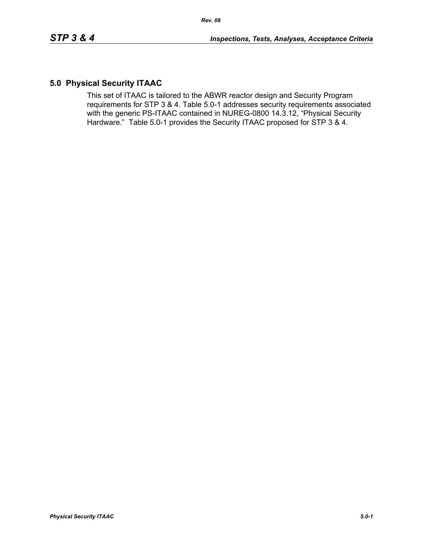# **5.0 Physical Security ITAAC**

This set of ITAAC is tailored to the ABWR reactor design and Security Program requirements for STP 3 & 4. Table 5.0-1 addresses security requirements associated with the generic PS-ITAAC contained in NUREG-0800 14.3.12, "Physical Security Hardware." Table 5.0-1 provides the Security ITAAC proposed for STP 3 & 4.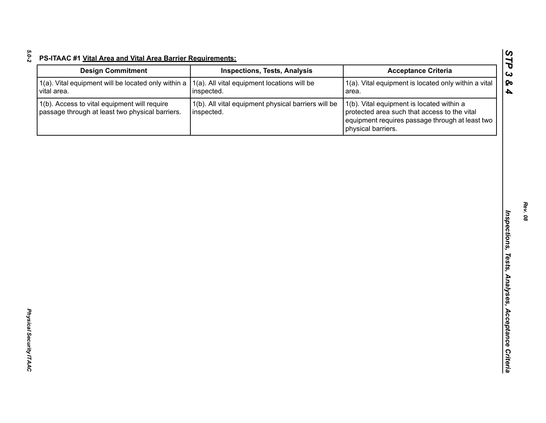| 1(a). All vital equipment locations will be<br>inspected.         | 1(a). Vital equipment is located only within a vital<br>area.                                                                                                      |
|-------------------------------------------------------------------|--------------------------------------------------------------------------------------------------------------------------------------------------------------------|
| 1(b). All vital equipment physical barriers will be<br>inspected. | 1(b). Vital equipment is located within a<br>protected area such that access to the vital<br>equipment requires passage through at least two<br>physical barriers. |
|                                                                   |                                                                                                                                                                    |
|                                                                   |                                                                                                                                                                    |
|                                                                   |                                                                                                                                                                    |
|                                                                   |                                                                                                                                                                    |
|                                                                   |                                                                                                                                                                    |
|                                                                   |                                                                                                                                                                    |
|                                                                   |                                                                                                                                                                    |
|                                                                   |                                                                                                                                                                    |
|                                                                   |                                                                                                                                                                    |
|                                                                   |                                                                                                                                                                    |
|                                                                   |                                                                                                                                                                    |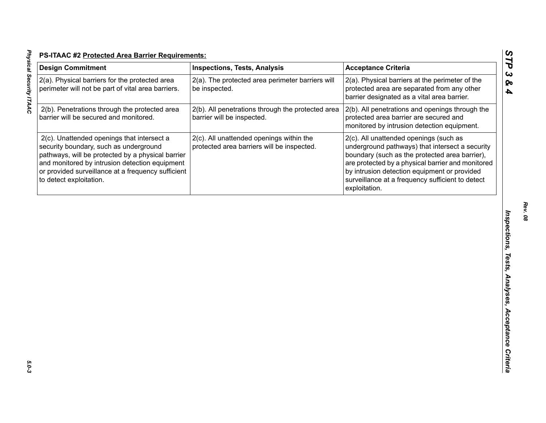| <b>Design Commitment</b>                                                                                                                                                                                                                                                     | <b>Inspections, Tests, Analysis</b>                                                    | <b>Acceptance Criteria</b>                                                                                                                                                                                                                                                                                            |
|------------------------------------------------------------------------------------------------------------------------------------------------------------------------------------------------------------------------------------------------------------------------------|----------------------------------------------------------------------------------------|-----------------------------------------------------------------------------------------------------------------------------------------------------------------------------------------------------------------------------------------------------------------------------------------------------------------------|
| 2(a). Physical barriers for the protected area<br>perimeter will not be part of vital area barriers.                                                                                                                                                                         | 2(a). The protected area perimeter barriers will<br>be inspected.                      | 2(a). Physical barriers at the perimeter of the<br>protected area are separated from any other<br>barrier designated as a vital area barrier.                                                                                                                                                                         |
| 2(b). Penetrations through the protected area<br>barrier will be secured and monitored.                                                                                                                                                                                      | 2(b). All penetrations through the protected area<br>barrier will be inspected.        | 2(b). All penetrations and openings through the<br>protected area barrier are secured and<br>monitored by intrusion detection equipment.                                                                                                                                                                              |
| 2(c). Unattended openings that intersect a<br>security boundary, such as underground<br>pathways, will be protected by a physical barrier<br>and monitored by intrusion detection equipment<br>or provided surveillance at a frequency sufficient<br>to detect exploitation. | 2(c). All unattended openings within the<br>protected area barriers will be inspected. | 2(c). All unattended openings (such as<br>underground pathways) that intersect a security<br>boundary (such as the protected area barrier),<br>are protected by a physical barrier and monitored<br>by intrusion detection equipment or provided<br>surveillance at a frequency sufficient to detect<br>exploitation. |
|                                                                                                                                                                                                                                                                              |                                                                                        |                                                                                                                                                                                                                                                                                                                       |
|                                                                                                                                                                                                                                                                              |                                                                                        |                                                                                                                                                                                                                                                                                                                       |
|                                                                                                                                                                                                                                                                              |                                                                                        |                                                                                                                                                                                                                                                                                                                       |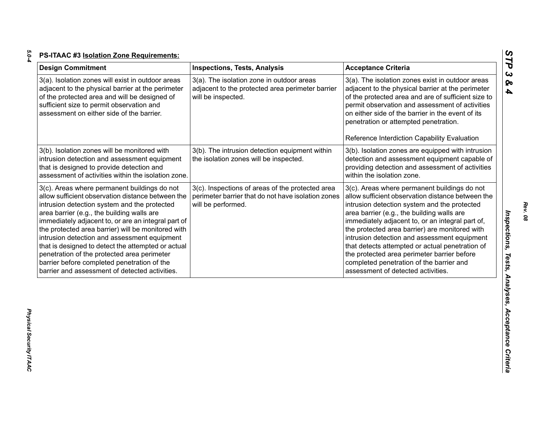| × |  |
|---|--|
| × |  |
|   |  |

| <b>Design Commitment</b>                                                                                                                                                                                                                                                                                                                                                                                                                                                                                                                                           | <b>Inspections, Tests, Analysis</b>                                                                                          | <b>Acceptance Criteria</b>                                                                                                                                                                                                                                                                                                                                                                                                                                                                                                                |
|--------------------------------------------------------------------------------------------------------------------------------------------------------------------------------------------------------------------------------------------------------------------------------------------------------------------------------------------------------------------------------------------------------------------------------------------------------------------------------------------------------------------------------------------------------------------|------------------------------------------------------------------------------------------------------------------------------|-------------------------------------------------------------------------------------------------------------------------------------------------------------------------------------------------------------------------------------------------------------------------------------------------------------------------------------------------------------------------------------------------------------------------------------------------------------------------------------------------------------------------------------------|
| 3(a). Isolation zones will exist in outdoor areas<br>adjacent to the physical barrier at the perimeter<br>of the protected area and will be designed of<br>sufficient size to permit observation and<br>assessment on either side of the barrier.                                                                                                                                                                                                                                                                                                                  | 3(a). The isolation zone in outdoor areas<br>adjacent to the protected area perimeter barrier<br>will be inspected.          | 3(a). The isolation zones exist in outdoor areas<br>adjacent to the physical barrier at the perimeter<br>of the protected area and are of sufficient size to<br>permit observation and assessment of activities<br>on either side of the barrier in the event of its<br>penetration or attempted penetration.                                                                                                                                                                                                                             |
|                                                                                                                                                                                                                                                                                                                                                                                                                                                                                                                                                                    |                                                                                                                              | Reference Interdiction Capability Evaluation                                                                                                                                                                                                                                                                                                                                                                                                                                                                                              |
| 3(b). Isolation zones will be monitored with<br>intrusion detection and assessment equipment<br>that is designed to provide detection and<br>assessment of activities within the isolation zone.                                                                                                                                                                                                                                                                                                                                                                   | 3(b). The intrusion detection equipment within<br>the isolation zones will be inspected.                                     | 3(b). Isolation zones are equipped with intrusion<br>detection and assessment equipment capable of<br>providing detection and assessment of activities<br>within the isolation zone.                                                                                                                                                                                                                                                                                                                                                      |
| 3(c). Areas where permanent buildings do not<br>allow sufficient observation distance between the<br>intrusion detection system and the protected<br>area barrier (e.g., the building walls are<br>immediately adjacent to, or are an integral part of<br>the protected area barrier) will be monitored with<br>intrusion detection and assessment equipment<br>that is designed to detect the attempted or actual<br>penetration of the protected area perimeter<br>barrier before completed penetration of the<br>barrier and assessment of detected activities. | 3(c). Inspections of areas of the protected area<br>perimeter barrier that do not have isolation zones<br>will be performed. | 3(c). Areas where permanent buildings do not<br>allow sufficient observation distance between the<br>intrusion detection system and the protected<br>area barrier (e.g., the building walls are<br>immediately adjacent to, or an integral part of,<br>the protected area barrier) are monitored with<br>intrusion detection and assessment equipment<br>that detects attempted or actual penetration of<br>the protected area perimeter barrier before<br>completed penetration of the barrier and<br>assessment of detected activities. |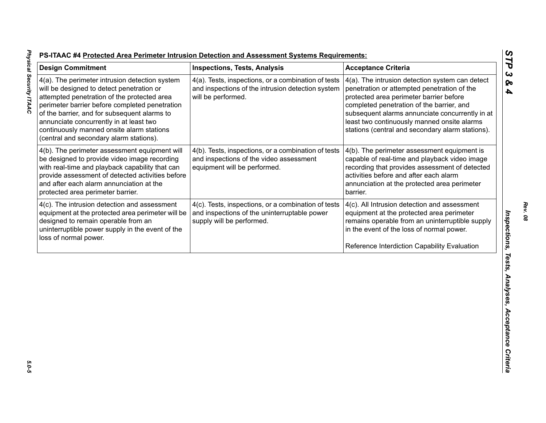| 4(a). The perimeter intrusion detection system<br>will be designed to detect penetration or                                                                                                                                                                                           |                                                                                                                                  | <b>Acceptance Criteria</b>                                                                                                                                                                                                                                                                                                                   |
|---------------------------------------------------------------------------------------------------------------------------------------------------------------------------------------------------------------------------------------------------------------------------------------|----------------------------------------------------------------------------------------------------------------------------------|----------------------------------------------------------------------------------------------------------------------------------------------------------------------------------------------------------------------------------------------------------------------------------------------------------------------------------------------|
| attempted penetration of the protected area<br>perimeter barrier before completed penetration<br>of the barrier, and for subsequent alarms to<br>annunciate concurrently in at least two<br>continuously manned onsite alarm stations<br>(central and secondary alarm stations).      | 4(a). Tests, inspections, or a combination of tests<br>and inspections of the intrusion detection system<br>will be performed.   | 4(a). The intrusion detection system can detect<br>penetration or attempted penetration of the<br>protected area perimeter barrier before<br>completed penetration of the barrier, and<br>subsequent alarms annunciate concurrently in at<br>least two continuously manned onsite alarms<br>stations (central and secondary alarm stations). |
| 4(b). The perimeter assessment equipment will<br>be designed to provide video image recording<br>with real-time and playback capability that can<br>provide assessment of detected activities before<br>and after each alarm annunciation at the<br>protected area perimeter barrier. | 4(b). Tests, inspections, or a combination of tests<br>and inspections of the video assessment<br>equipment will be performed.   | 4(b). The perimeter assessment equipment is<br>capable of real-time and playback video image<br>recording that provides assessment of detected<br>activities before and after each alarm<br>annunciation at the protected area perimeter<br>barrier.                                                                                         |
| 4(c). The intrusion detection and assessment<br>equipment at the protected area perimeter will be<br>designed to remain operable from an<br>uninterruptible power supply in the event of the<br>loss of normal power.                                                                 | 4(c). Tests, inspections, or a combination of tests<br>and inspections of the uninterruptable power<br>supply will be performed. | 4(c). All Intrusion detection and assessment<br>equipment at the protected area perimeter<br>remains operable from an uninterruptible supply<br>in the event of the loss of normal power.<br>Reference Interdiction Capability Evaluation                                                                                                    |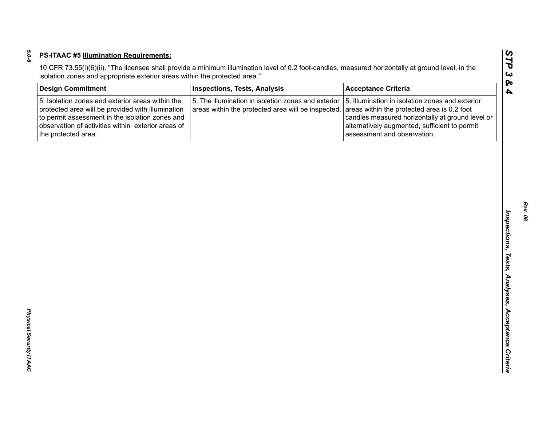| <b>Design Commitment</b>                                                                                                                                                                                                              | <b>Inspections, Tests, Analysis</b>                                                                       | <b>Acceptance Criteria</b>                                                                                                                                                                                                         |
|---------------------------------------------------------------------------------------------------------------------------------------------------------------------------------------------------------------------------------------|-----------------------------------------------------------------------------------------------------------|------------------------------------------------------------------------------------------------------------------------------------------------------------------------------------------------------------------------------------|
| 5. Isolation zones and exterior areas within the<br>protected area will be provided with illumination<br>to permit assessment in the isolation zones and<br>observation of activities within exterior areas of<br>the protected area. | 5. The illumination in isolation zones and exterior<br>areas within the protected area will be inspected. | 5. Illumination in isolation zones and exterior<br>areas within the protected area is 0.2 foot<br>candles measured horizontally at ground level or<br>alternatively augmented, sufficient to permit<br>assessment and observation. |
|                                                                                                                                                                                                                                       |                                                                                                           |                                                                                                                                                                                                                                    |
|                                                                                                                                                                                                                                       |                                                                                                           |                                                                                                                                                                                                                                    |
|                                                                                                                                                                                                                                       |                                                                                                           |                                                                                                                                                                                                                                    |
|                                                                                                                                                                                                                                       |                                                                                                           |                                                                                                                                                                                                                                    |
|                                                                                                                                                                                                                                       |                                                                                                           |                                                                                                                                                                                                                                    |
|                                                                                                                                                                                                                                       |                                                                                                           |                                                                                                                                                                                                                                    |
|                                                                                                                                                                                                                                       |                                                                                                           |                                                                                                                                                                                                                                    |
|                                                                                                                                                                                                                                       |                                                                                                           |                                                                                                                                                                                                                                    |
|                                                                                                                                                                                                                                       |                                                                                                           |                                                                                                                                                                                                                                    |
|                                                                                                                                                                                                                                       |                                                                                                           |                                                                                                                                                                                                                                    |
|                                                                                                                                                                                                                                       |                                                                                                           |                                                                                                                                                                                                                                    |
|                                                                                                                                                                                                                                       |                                                                                                           |                                                                                                                                                                                                                                    |
|                                                                                                                                                                                                                                       |                                                                                                           |                                                                                                                                                                                                                                    |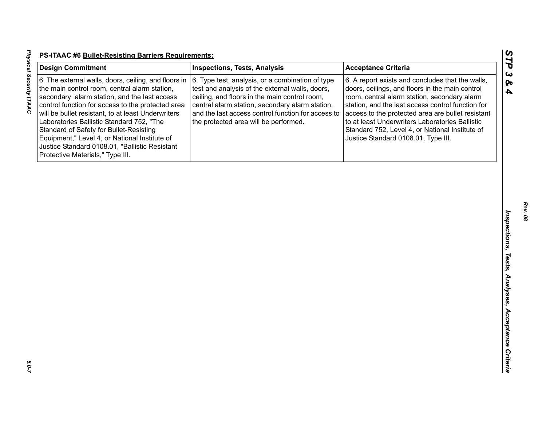| <b>Design Commitment</b>                                                                                                                                                                                                                                                                                                                                                                                                                                                                        | <b>Inspections, Tests, Analysis</b>                                                                                                                                                                                                                                                                    | <b>Acceptance Criteria</b>                                                                                                                                                                                                                                                                                                                                                                                 |
|-------------------------------------------------------------------------------------------------------------------------------------------------------------------------------------------------------------------------------------------------------------------------------------------------------------------------------------------------------------------------------------------------------------------------------------------------------------------------------------------------|--------------------------------------------------------------------------------------------------------------------------------------------------------------------------------------------------------------------------------------------------------------------------------------------------------|------------------------------------------------------------------------------------------------------------------------------------------------------------------------------------------------------------------------------------------------------------------------------------------------------------------------------------------------------------------------------------------------------------|
| 6. The external walls, doors, ceiling, and floors in<br>the main control room, central alarm station,<br>secondary alarm station, and the last access<br>control function for access to the protected area<br>will be bullet resistant, to at least Underwriters<br>Laboratories Ballistic Standard 752, "The<br>Standard of Safety for Bullet-Resisting<br>Equipment," Level 4, or National Institute of<br>Justice Standard 0108.01, "Ballistic Resistant<br>Protective Materials," Type III. | 6. Type test, analysis, or a combination of type<br>test and analysis of the external walls, doors,<br>ceiling, and floors in the main control room,<br>central alarm station, secondary alarm station,<br>and the last access control function for access to<br>the protected area will be performed. | 6. A report exists and concludes that the walls,<br>doors, ceilings, and floors in the main control<br>room, central alarm station, secondary alarm<br>station, and the last access control function for<br>access to the protected area are bullet resistant<br>to at least Underwriters Laboratories Ballistic<br>Standard 752, Level 4, or National Institute of<br>Justice Standard 0108.01, Type III. |
|                                                                                                                                                                                                                                                                                                                                                                                                                                                                                                 |                                                                                                                                                                                                                                                                                                        |                                                                                                                                                                                                                                                                                                                                                                                                            |
|                                                                                                                                                                                                                                                                                                                                                                                                                                                                                                 |                                                                                                                                                                                                                                                                                                        |                                                                                                                                                                                                                                                                                                                                                                                                            |
|                                                                                                                                                                                                                                                                                                                                                                                                                                                                                                 |                                                                                                                                                                                                                                                                                                        |                                                                                                                                                                                                                                                                                                                                                                                                            |
|                                                                                                                                                                                                                                                                                                                                                                                                                                                                                                 |                                                                                                                                                                                                                                                                                                        |                                                                                                                                                                                                                                                                                                                                                                                                            |
|                                                                                                                                                                                                                                                                                                                                                                                                                                                                                                 |                                                                                                                                                                                                                                                                                                        |                                                                                                                                                                                                                                                                                                                                                                                                            |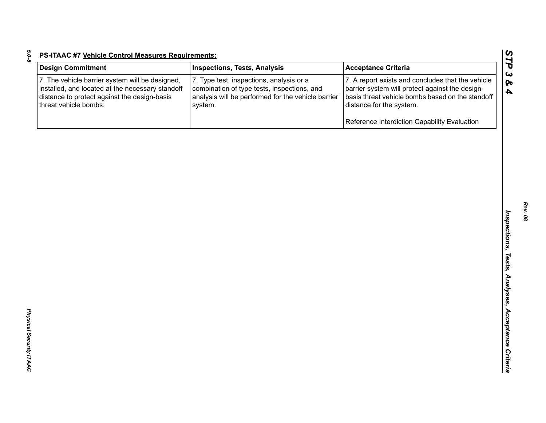| <b>Design Commitment</b>                                                                                                                                                     | <b>Inspections, Tests, Analysis</b>                                                                                                                      | <b>Acceptance Criteria</b>                                                                                                                                                           |
|------------------------------------------------------------------------------------------------------------------------------------------------------------------------------|----------------------------------------------------------------------------------------------------------------------------------------------------------|--------------------------------------------------------------------------------------------------------------------------------------------------------------------------------------|
| 7. The vehicle barrier system will be designed,<br>installed, and located at the necessary standoff<br>distance to protect against the design-basis<br>threat vehicle bombs. | 7. Type test, inspections, analysis or a<br>combination of type tests, inspections, and<br>analysis will be performed for the vehicle barrier<br>system. | 7. A report exists and concludes that the vehicle<br>barrier system will protect against the design-<br>basis threat vehicle bombs based on the standoff<br>distance for the system. |
|                                                                                                                                                                              |                                                                                                                                                          | Reference Interdiction Capability Evaluation                                                                                                                                         |
|                                                                                                                                                                              |                                                                                                                                                          |                                                                                                                                                                                      |
|                                                                                                                                                                              |                                                                                                                                                          |                                                                                                                                                                                      |
|                                                                                                                                                                              |                                                                                                                                                          |                                                                                                                                                                                      |
|                                                                                                                                                                              |                                                                                                                                                          |                                                                                                                                                                                      |
|                                                                                                                                                                              |                                                                                                                                                          |                                                                                                                                                                                      |
|                                                                                                                                                                              |                                                                                                                                                          |                                                                                                                                                                                      |
|                                                                                                                                                                              |                                                                                                                                                          |                                                                                                                                                                                      |
|                                                                                                                                                                              |                                                                                                                                                          |                                                                                                                                                                                      |
|                                                                                                                                                                              |                                                                                                                                                          |                                                                                                                                                                                      |

*5.0-8*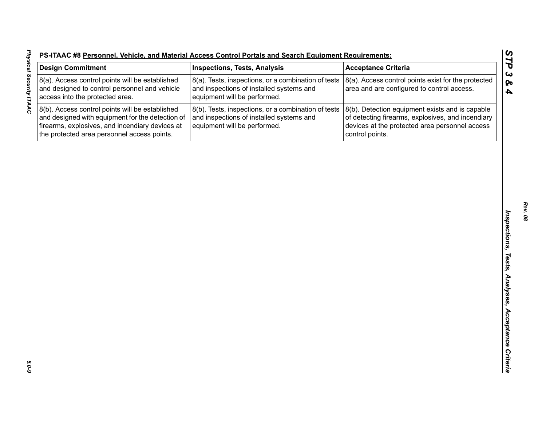|  | -S-ITAAC #8 Personnel, Vehicle, and Material Access Control Portals and Search Equipment Requirements: |  |  |
|--|--------------------------------------------------------------------------------------------------------|--|--|
|  |                                                                                                        |  |  |

| <b>Design Commitment</b>                                                                                                                                                                              | <b>Inspections, Tests, Analysis</b>                                                                                             | <b>Acceptance Criteria</b>                                                                                                                                                |
|-------------------------------------------------------------------------------------------------------------------------------------------------------------------------------------------------------|---------------------------------------------------------------------------------------------------------------------------------|---------------------------------------------------------------------------------------------------------------------------------------------------------------------------|
| 8(a). Access control points will be established<br>and designed to control personnel and vehicle<br>access into the protected area.                                                                   | 8(a). Tests, inspections, or a combination of tests<br>and inspections of installed systems and<br>equipment will be performed. | 8(a). Access control points exist for the protected<br>area and are configured to control access.                                                                         |
| 8(b). Access control points will be established<br>and designed with equipment for the detection of<br>firearms, explosives, and incendiary devices at<br>the protected area personnel access points. | 8(b). Tests, inspections, or a combination of tests<br>and inspections of installed systems and<br>equipment will be performed. | 8(b). Detection equipment exists and is capable<br>of detecting firearms, explosives, and incendiary<br>devices at the protected area personnel access<br>control points. |
|                                                                                                                                                                                                       |                                                                                                                                 |                                                                                                                                                                           |
|                                                                                                                                                                                                       |                                                                                                                                 |                                                                                                                                                                           |
|                                                                                                                                                                                                       |                                                                                                                                 |                                                                                                                                                                           |
|                                                                                                                                                                                                       |                                                                                                                                 |                                                                                                                                                                           |
|                                                                                                                                                                                                       |                                                                                                                                 |                                                                                                                                                                           |
|                                                                                                                                                                                                       |                                                                                                                                 |                                                                                                                                                                           |
|                                                                                                                                                                                                       |                                                                                                                                 |                                                                                                                                                                           |
|                                                                                                                                                                                                       |                                                                                                                                 |                                                                                                                                                                           |
|                                                                                                                                                                                                       |                                                                                                                                 |                                                                                                                                                                           |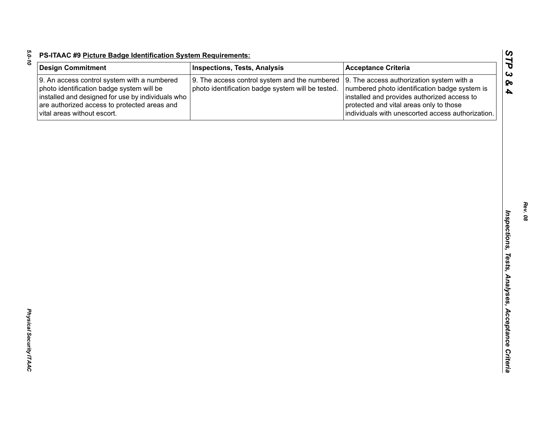| <b>Design Commitment</b>                                                                                                                                                                                                     | <b>Inspections, Tests, Analysis</b>                                                                | <b>Acceptance Criteria</b>                                                                                                                                                                                                                |
|------------------------------------------------------------------------------------------------------------------------------------------------------------------------------------------------------------------------------|----------------------------------------------------------------------------------------------------|-------------------------------------------------------------------------------------------------------------------------------------------------------------------------------------------------------------------------------------------|
| 9. An access control system with a numbered<br>photo identification badge system will be<br>installed and designed for use by individuals who<br>are authorized access to protected areas and<br>vital areas without escort. | 9. The access control system and the numbered<br>photo identification badge system will be tested. | 9. The access authorization system with a<br>numbered photo identification badge system is<br>installed and provides authorized access to<br>protected and vital areas only to those<br>individuals with unescorted access authorization. |
|                                                                                                                                                                                                                              |                                                                                                    |                                                                                                                                                                                                                                           |
|                                                                                                                                                                                                                              |                                                                                                    |                                                                                                                                                                                                                                           |
|                                                                                                                                                                                                                              |                                                                                                    |                                                                                                                                                                                                                                           |
|                                                                                                                                                                                                                              |                                                                                                    |                                                                                                                                                                                                                                           |
|                                                                                                                                                                                                                              |                                                                                                    |                                                                                                                                                                                                                                           |
|                                                                                                                                                                                                                              |                                                                                                    |                                                                                                                                                                                                                                           |
|                                                                                                                                                                                                                              |                                                                                                    |                                                                                                                                                                                                                                           |
|                                                                                                                                                                                                                              |                                                                                                    |                                                                                                                                                                                                                                           |
|                                                                                                                                                                                                                              |                                                                                                    |                                                                                                                                                                                                                                           |
|                                                                                                                                                                                                                              |                                                                                                    |                                                                                                                                                                                                                                           |
|                                                                                                                                                                                                                              |                                                                                                    |                                                                                                                                                                                                                                           |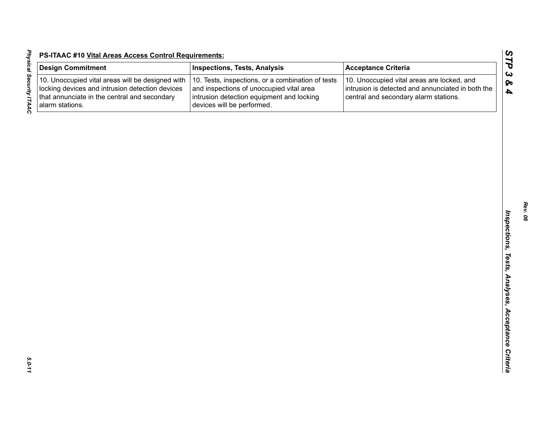| $\begin{bmatrix} 1 & 0 & 0 & 0 \\ 0 & 0 & 0 & 0 \\ 0 & 0 & 0 & 0 \\ 0 & 0 & 0 & 0 \\ 0 & 0 & 0 & 0 \\ 0 & 0 & 0 & 0 \\ 0 & 0 & 0 & 0 \\ 0 & 0 & 0 & 0 \\ 0 & 0 & 0 & 0 & 0 \\ 0 & 0 & 0 & 0 & 0 \\ 0 & 0 & 0 & 0 & 0 \\ 0 & 0 & 0 & 0 & 0 & 0 \\ 0 & 0 & 0 & 0 & 0 & 0 \\ 0 & 0 & 0 & 0 & 0 & 0 \\ 0 & 0 & 0 & 0 & 0 & 0 \\ $<br>ı | P<br>De<br>$10.\nloc\nthe\nala$ |
|------------------------------------------------------------------------------------------------------------------------------------------------------------------------------------------------------------------------------------------------------------------------------------------------------------------------------------|---------------------------------|
|                                                                                                                                                                                                                                                                                                                                    |                                 |
| -1-0                                                                                                                                                                                                                                                                                                                               |                                 |

| <b>Design Commitment</b>                                                                                                                                               | <b>Inspections, Tests, Analysis</b>                                                                                                                                      | <b>Acceptance Criteria</b>                                                                                                               |
|------------------------------------------------------------------------------------------------------------------------------------------------------------------------|--------------------------------------------------------------------------------------------------------------------------------------------------------------------------|------------------------------------------------------------------------------------------------------------------------------------------|
| 10. Unoccupied vital areas will be designed with<br>locking devices and intrusion detection devices<br>that annunciate in the central and secondary<br>alarm stations. | 10. Tests, inspections, or a combination of tests<br>and inspections of unoccupied vital area<br>intrusion detection equipment and locking<br>devices will be performed. | 10. Unoccupied vital areas are locked, and<br>intrusion is detected and annunciated in both the<br>central and secondary alarm stations. |
|                                                                                                                                                                        |                                                                                                                                                                          |                                                                                                                                          |
|                                                                                                                                                                        |                                                                                                                                                                          |                                                                                                                                          |
|                                                                                                                                                                        |                                                                                                                                                                          |                                                                                                                                          |
|                                                                                                                                                                        |                                                                                                                                                                          |                                                                                                                                          |
|                                                                                                                                                                        |                                                                                                                                                                          |                                                                                                                                          |
|                                                                                                                                                                        |                                                                                                                                                                          |                                                                                                                                          |
|                                                                                                                                                                        |                                                                                                                                                                          |                                                                                                                                          |
|                                                                                                                                                                        |                                                                                                                                                                          |                                                                                                                                          |
|                                                                                                                                                                        |                                                                                                                                                                          |                                                                                                                                          |
|                                                                                                                                                                        |                                                                                                                                                                          |                                                                                                                                          |
|                                                                                                                                                                        |                                                                                                                                                                          |                                                                                                                                          |
|                                                                                                                                                                        |                                                                                                                                                                          |                                                                                                                                          |
|                                                                                                                                                                        |                                                                                                                                                                          |                                                                                                                                          |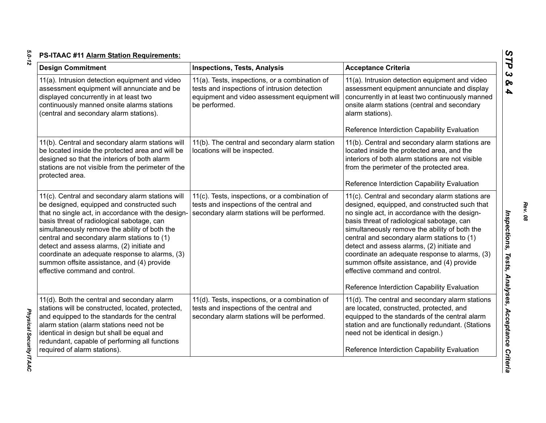| <b>Design Commitment</b>                                                                                                                                                                                                                                                                                                                                                                                                                                                           | <b>Inspections, Tests, Analysis</b>                                                                                                                              | <b>Acceptance Criteria</b>                                                                                                                                                                                                                                                                                                                                                                                                                                                                                                      |
|------------------------------------------------------------------------------------------------------------------------------------------------------------------------------------------------------------------------------------------------------------------------------------------------------------------------------------------------------------------------------------------------------------------------------------------------------------------------------------|------------------------------------------------------------------------------------------------------------------------------------------------------------------|---------------------------------------------------------------------------------------------------------------------------------------------------------------------------------------------------------------------------------------------------------------------------------------------------------------------------------------------------------------------------------------------------------------------------------------------------------------------------------------------------------------------------------|
| 11(a). Intrusion detection equipment and video<br>assessment equipment will annunciate and be<br>displayed concurrently in at least two<br>continuously manned onsite alarms stations<br>(central and secondary alarm stations).                                                                                                                                                                                                                                                   | 11(a). Tests, inspections, or a combination of<br>tests and inspections of intrusion detection<br>equipment and video assessment equipment will<br>be performed. | 11(a). Intrusion detection equipment and video<br>assessment equipment annunciate and display<br>concurrently in at least two continuously manned<br>onsite alarm stations (central and secondary<br>alarm stations).<br>Reference Interdiction Capability Evaluation                                                                                                                                                                                                                                                           |
| 11(b). Central and secondary alarm stations will<br>be located inside the protected area and will be<br>designed so that the interiors of both alarm<br>stations are not visible from the perimeter of the<br>protected area.                                                                                                                                                                                                                                                      | 11(b). The central and secondary alarm station<br>locations will be inspected.                                                                                   | 11(b). Central and secondary alarm stations are<br>located inside the protected area, and the<br>interiors of both alarm stations are not visible<br>from the perimeter of the protected area.<br>Reference Interdiction Capability Evaluation                                                                                                                                                                                                                                                                                  |
| 11(c). Central and secondary alarm stations will<br>be designed, equipped and constructed such<br>that no single act, in accordance with the design-<br>basis threat of radiological sabotage, can<br>simultaneously remove the ability of both the<br>central and secondary alarm stations to (1)<br>detect and assess alarms, (2) initiate and<br>coordinate an adequate response to alarms, (3)<br>summon offsite assistance, and (4) provide<br>effective command and control. | 11(c). Tests, inspections, or a combination of<br>tests and inspections of the central and<br>secondary alarm stations will be performed.                        | 11(c). Central and secondary alarm stations are<br>designed, equipped, and constructed such that<br>no single act, in accordance with the design-<br>basis threat of radiological sabotage, can<br>simultaneously remove the ability of both the<br>central and secondary alarm stations to (1)<br>detect and assess alarms, (2) initiate and<br>coordinate an adequate response to alarms, (3)<br>summon offsite assistance, and (4) provide<br>effective command and control.<br>Reference Interdiction Capability Evaluation |
| 11(d). Both the central and secondary alarm<br>stations will be constructed, located, protected,<br>and equipped to the standards for the central<br>alarm station (alarm stations need not be<br>identical in design but shall be equal and<br>redundant, capable of performing all functions<br>required of alarm stations).                                                                                                                                                     | 11(d). Tests, inspections, or a combination of<br>tests and inspections of the central and<br>secondary alarm stations will be performed.                        | 11(d). The central and secondary alarm stations<br>are located, constructed, protected, and<br>equipped to the standards of the central alarm<br>station and are functionally redundant. (Stations<br>need not be identical in design.)<br>Reference Interdiction Capability Evaluation                                                                                                                                                                                                                                         |

*Rev. 08*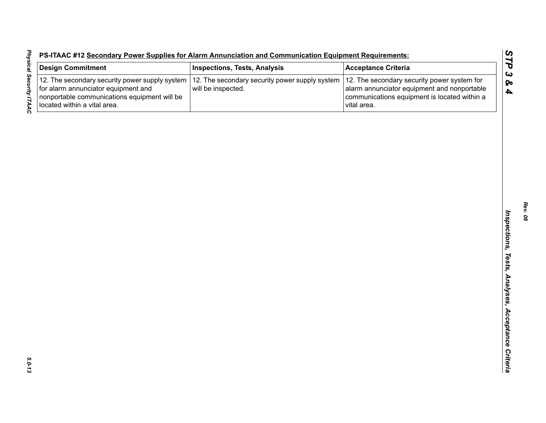|  |  | S-ITAAC #12 Secondary Power Supplies for Alarm Annunciation and Communication Equipment Requirements: |  |
|--|--|-------------------------------------------------------------------------------------------------------|--|
|  |  |                                                                                                       |  |

| <b>Design Commitment</b>                                                                                                                                              | <b>Inspections, Tests, Analysis</b>                                  | <b>Acceptance Criteria</b>                                                                                                                                |
|-----------------------------------------------------------------------------------------------------------------------------------------------------------------------|----------------------------------------------------------------------|-----------------------------------------------------------------------------------------------------------------------------------------------------------|
| 12. The secondary security power supply system<br>for alarm annunciator equipment and<br>nonportable communications equipment will be<br>located within a vital area. | 12. The secondary security power supply system<br>will be inspected. | 12. The secondary security power system for<br>alarm annunciator equipment and nonportable<br>communications equipment is located within a<br>vital area. |
|                                                                                                                                                                       |                                                                      |                                                                                                                                                           |
|                                                                                                                                                                       |                                                                      |                                                                                                                                                           |
|                                                                                                                                                                       |                                                                      |                                                                                                                                                           |
|                                                                                                                                                                       |                                                                      |                                                                                                                                                           |
|                                                                                                                                                                       |                                                                      |                                                                                                                                                           |
|                                                                                                                                                                       |                                                                      |                                                                                                                                                           |
|                                                                                                                                                                       |                                                                      |                                                                                                                                                           |
|                                                                                                                                                                       |                                                                      |                                                                                                                                                           |
|                                                                                                                                                                       |                                                                      |                                                                                                                                                           |
|                                                                                                                                                                       |                                                                      |                                                                                                                                                           |
|                                                                                                                                                                       |                                                                      |                                                                                                                                                           |
|                                                                                                                                                                       |                                                                      |                                                                                                                                                           |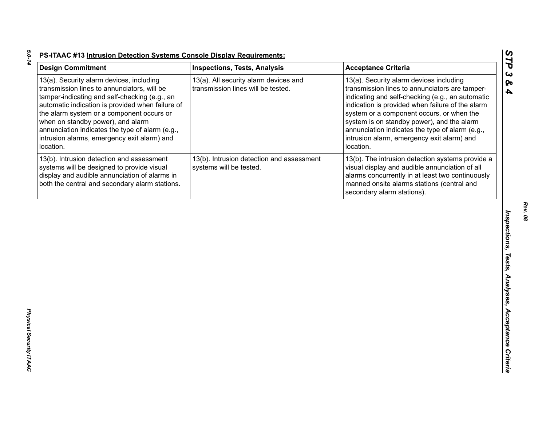| <b>Design Commitment</b>                                                                                                                                                                                                                                                                                                                                                                      | <b>Inspections, Tests, Analysis</b>                                         | <b>Acceptance Criteria</b>                                                                                                                                                                                                                                                                                                                                                                                 |
|-----------------------------------------------------------------------------------------------------------------------------------------------------------------------------------------------------------------------------------------------------------------------------------------------------------------------------------------------------------------------------------------------|-----------------------------------------------------------------------------|------------------------------------------------------------------------------------------------------------------------------------------------------------------------------------------------------------------------------------------------------------------------------------------------------------------------------------------------------------------------------------------------------------|
| 13(a). Security alarm devices, including<br>transmission lines to annunciators, will be<br>tamper-indicating and self-checking (e.g., an<br>automatic indication is provided when failure of<br>the alarm system or a component occurs or<br>when on standby power), and alarm<br>annunciation indicates the type of alarm (e.g.,<br>intrusion alarms, emergency exit alarm) and<br>location. | 13(a). All security alarm devices and<br>transmission lines will be tested. | 13(a). Security alarm devices including<br>transmission lines to annunciators are tamper-<br>indicating and self-checking (e.g., an automatic<br>indication is provided when failure of the alarm<br>system or a component occurs, or when the<br>system is on standby power), and the alarm<br>annunciation indicates the type of alarm (e.g.,<br>intrusion alarm, emergency exit alarm) and<br>location. |
| 13(b). Intrusion detection and assessment<br>systems will be designed to provide visual<br>display and audible annunciation of alarms in<br>both the central and secondary alarm stations.                                                                                                                                                                                                    | 13(b). Intrusion detection and assessment<br>systems will be tested.        | 13(b). The intrusion detection systems provide a<br>visual display and audible annunciation of all<br>alarms concurrently in at least two continuously<br>manned onsite alarms stations (central and<br>secondary alarm stations).                                                                                                                                                                         |
|                                                                                                                                                                                                                                                                                                                                                                                               |                                                                             |                                                                                                                                                                                                                                                                                                                                                                                                            |
|                                                                                                                                                                                                                                                                                                                                                                                               |                                                                             |                                                                                                                                                                                                                                                                                                                                                                                                            |
|                                                                                                                                                                                                                                                                                                                                                                                               |                                                                             |                                                                                                                                                                                                                                                                                                                                                                                                            |
|                                                                                                                                                                                                                                                                                                                                                                                               |                                                                             |                                                                                                                                                                                                                                                                                                                                                                                                            |
|                                                                                                                                                                                                                                                                                                                                                                                               |                                                                             |                                                                                                                                                                                                                                                                                                                                                                                                            |

*Rev. 08*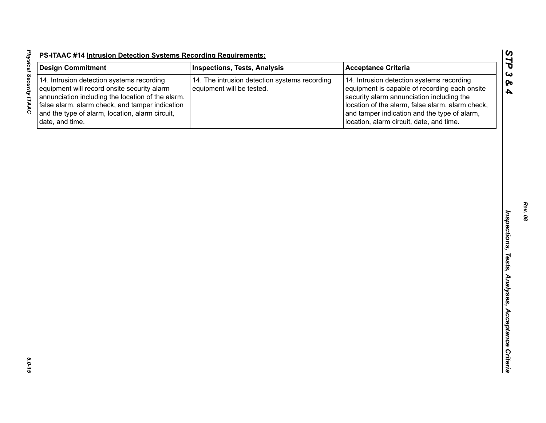| <b>Design Commitment</b>                                                                                                                                                                                                                                               | <b>Inspections, Tests, Analysis</b>                                        | <b>Acceptance Criteria</b>                                                                                                                                                                                                                                                              |
|------------------------------------------------------------------------------------------------------------------------------------------------------------------------------------------------------------------------------------------------------------------------|----------------------------------------------------------------------------|-----------------------------------------------------------------------------------------------------------------------------------------------------------------------------------------------------------------------------------------------------------------------------------------|
| 14. Intrusion detection systems recording<br>equipment will record onsite security alarm<br>annunciation including the location of the alarm,<br>false alarm, alarm check, and tamper indication<br>and the type of alarm, location, alarm circuit,<br>date, and time. | 14. The intrusion detection systems recording<br>equipment will be tested. | 14. Intrusion detection systems recording<br>equipment is capable of recording each onsite<br>security alarm annunciation including the<br>location of the alarm, false alarm, alarm check,<br>and tamper indication and the type of alarm,<br>location, alarm circuit, date, and time. |
|                                                                                                                                                                                                                                                                        |                                                                            |                                                                                                                                                                                                                                                                                         |
|                                                                                                                                                                                                                                                                        |                                                                            |                                                                                                                                                                                                                                                                                         |
|                                                                                                                                                                                                                                                                        |                                                                            |                                                                                                                                                                                                                                                                                         |
|                                                                                                                                                                                                                                                                        |                                                                            |                                                                                                                                                                                                                                                                                         |
|                                                                                                                                                                                                                                                                        |                                                                            |                                                                                                                                                                                                                                                                                         |
|                                                                                                                                                                                                                                                                        |                                                                            |                                                                                                                                                                                                                                                                                         |
|                                                                                                                                                                                                                                                                        |                                                                            |                                                                                                                                                                                                                                                                                         |
|                                                                                                                                                                                                                                                                        |                                                                            |                                                                                                                                                                                                                                                                                         |
|                                                                                                                                                                                                                                                                        |                                                                            |                                                                                                                                                                                                                                                                                         |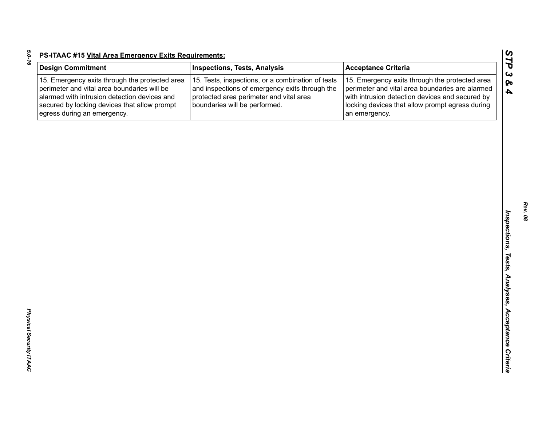| c |  |
|---|--|
|   |  |
|   |  |
|   |  |
|   |  |
|   |  |

| <b>Design Commitment</b>                                                                                                                                                                                                     | <b>Inspections, Tests, Analysis</b>                                                                                                                                             | <b>Acceptance Criteria</b>                                                                                                                                                                                               |
|------------------------------------------------------------------------------------------------------------------------------------------------------------------------------------------------------------------------------|---------------------------------------------------------------------------------------------------------------------------------------------------------------------------------|--------------------------------------------------------------------------------------------------------------------------------------------------------------------------------------------------------------------------|
| 15. Emergency exits through the protected area<br>perimeter and vital area boundaries will be<br>alarmed with intrusion detection devices and<br>secured by locking devices that allow prompt<br>egress during an emergency. | 15. Tests, inspections, or a combination of tests<br>and inspections of emergency exits through the<br>protected area perimeter and vital area<br>boundaries will be performed. | 15. Emergency exits through the protected area<br>perimeter and vital area boundaries are alarmed<br>with intrusion detection devices and secured by<br>locking devices that allow prompt egress during<br>an emergency. |
|                                                                                                                                                                                                                              |                                                                                                                                                                                 |                                                                                                                                                                                                                          |
|                                                                                                                                                                                                                              |                                                                                                                                                                                 |                                                                                                                                                                                                                          |
|                                                                                                                                                                                                                              |                                                                                                                                                                                 |                                                                                                                                                                                                                          |
|                                                                                                                                                                                                                              |                                                                                                                                                                                 |                                                                                                                                                                                                                          |
|                                                                                                                                                                                                                              |                                                                                                                                                                                 |                                                                                                                                                                                                                          |
|                                                                                                                                                                                                                              |                                                                                                                                                                                 |                                                                                                                                                                                                                          |
|                                                                                                                                                                                                                              |                                                                                                                                                                                 |                                                                                                                                                                                                                          |
|                                                                                                                                                                                                                              |                                                                                                                                                                                 |                                                                                                                                                                                                                          |
|                                                                                                                                                                                                                              |                                                                                                                                                                                 |                                                                                                                                                                                                                          |
|                                                                                                                                                                                                                              |                                                                                                                                                                                 |                                                                                                                                                                                                                          |
|                                                                                                                                                                                                                              |                                                                                                                                                                                 |                                                                                                                                                                                                                          |
|                                                                                                                                                                                                                              |                                                                                                                                                                                 |                                                                                                                                                                                                                          |
|                                                                                                                                                                                                                              |                                                                                                                                                                                 |                                                                                                                                                                                                                          |